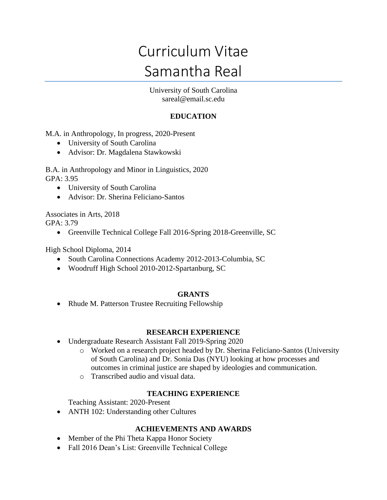# Curriculum Vitae Samantha Real

University of South Carolina sareal@email.sc.edu

## **EDUCATION**

M.A. in Anthropology, In progress, 2020-Present

- University of South Carolina
- Advisor: Dr. Magdalena Stawkowski

B.A. in Anthropology and Minor in Linguistics, 2020 GPA: 3.95

- University of South Carolina
- Advisor: Dr. Sherina Feliciano-Santos

Associates in Arts, 2018 GPA: 3.79

• Greenville Technical College Fall 2016-Spring 2018-Greenville, SC

High School Diploma, 2014

- South Carolina Connections Academy 2012-2013-Columbia, SC
- Woodruff High School 2010-2012-Spartanburg, SC

### **GRANTS**

• Rhude M. Patterson Trustee Recruiting Fellowship

### **RESEARCH EXPERIENCE**

- Undergraduate Research Assistant Fall 2019-Spring 2020
	- o Worked on a research project headed by Dr. Sherina Feliciano-Santos (University of South Carolina) and Dr. Sonia Das (NYU) looking at how processes and outcomes in criminal justice are shaped by ideologies and communication.
	- o Transcribed audio and visual data.

### **TEACHING EXPERIENCE**

Teaching Assistant: 2020-Present

• ANTH 102: Understanding other Cultures

### **ACHIEVEMENTS AND AWARDS**

- Member of the Phi Theta Kappa Honor Society
- Fall 2016 Dean's List: Greenville Technical College